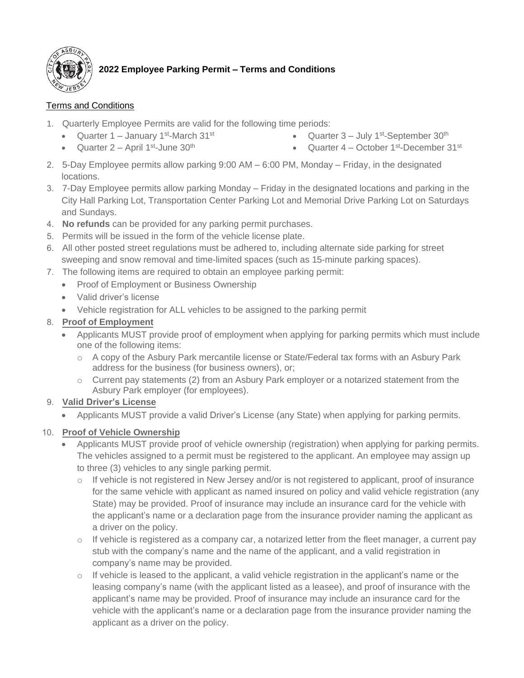

# **2022 Employee Parking Permit – Terms and Conditions**

## Terms and Conditions

- 1. Quarterly Employee Permits are valid for the following time periods:
	- Quarter 1 January 1<sup>st</sup>-March 31<sup>st</sup>
	- Quarter  $2 -$  April 1<sup>st</sup>-June 30<sup>th</sup>
- Quarter 3 July 1<sup>st</sup>-September 30<sup>th</sup>
- Quarter 4 October 1<sup>st</sup>-December 31<sup>st</sup>
- 2. 5-Day Employee permits allow parking 9:00 AM 6:00 PM, Monday Friday, in the designated locations.
- 3. 7-Day Employee permits allow parking Monday Friday in the designated locations and parking in the City Hall Parking Lot, Transportation Center Parking Lot and Memorial Drive Parking Lot on Saturdays and Sundays.
- 4. **No refunds** can be provided for any parking permit purchases.
- 5. Permits will be issued in the form of the vehicle license plate.
- 6. All other posted street regulations must be adhered to, including alternate side parking for street sweeping and snow removal and time-limited spaces (such as 15-minute parking spaces).
- 7. The following items are required to obtain an employee parking permit:
	- Proof of Employment or Business Ownership
	- Valid driver's license
	- Vehicle registration for ALL vehicles to be assigned to the parking permit

#### 8. **Proof of Employment**

- Applicants MUST provide proof of employment when applying for parking permits which must include one of the following items:
	- o A copy of the Asbury Park mercantile license or State/Federal tax forms with an Asbury Park address for the business (for business owners), or;
	- $\circ$  Current pay statements (2) from an Asbury Park employer or a notarized statement from the Asbury Park employer (for employees).

## 9. **Valid Driver's License**

• Applicants MUST provide a valid Driver's License (any State) when applying for parking permits.

#### 10. **Proof of Vehicle Ownership**

- Applicants MUST provide proof of vehicle ownership (registration) when applying for parking permits. The vehicles assigned to a permit must be registered to the applicant. An employee may assign up to three (3) vehicles to any single parking permit.
	- o If vehicle is not registered in New Jersey and/or is not registered to applicant, proof of insurance for the same vehicle with applicant as named insured on policy and valid vehicle registration (any State) may be provided. Proof of insurance may include an insurance card for the vehicle with the applicant's name or a declaration page from the insurance provider naming the applicant as a driver on the policy.
	- $\circ$  If vehicle is registered as a company car, a notarized letter from the fleet manager, a current pay stub with the company's name and the name of the applicant, and a valid registration in company's name may be provided.
	- o If vehicle is leased to the applicant, a valid vehicle registration in the applicant's name or the leasing company's name (with the applicant listed as a leasee), and proof of insurance with the applicant's name may be provided. Proof of insurance may include an insurance card for the vehicle with the applicant's name or a declaration page from the insurance provider naming the applicant as a driver on the policy.